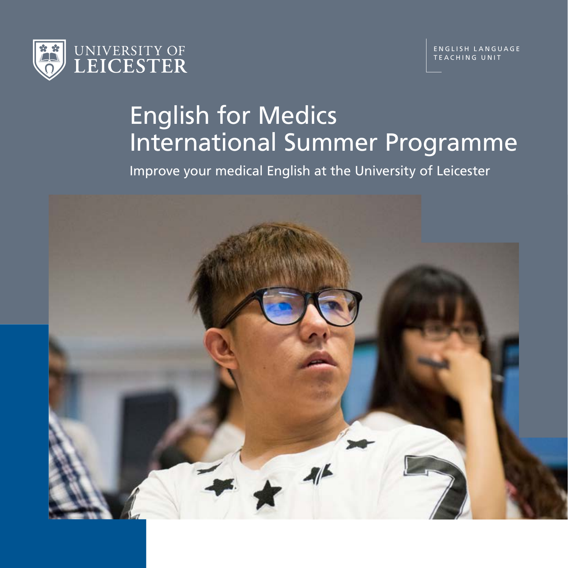

# English for Medics International Summer Programme

Improve your medical English at the University of Leicester

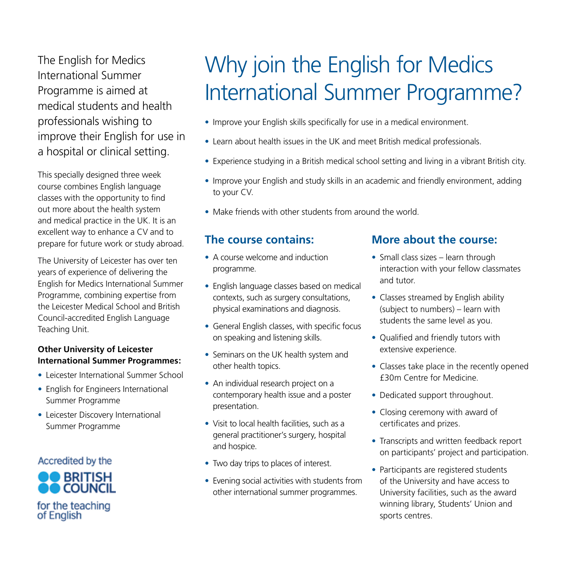The English for Medics International Summer Programme is aimed at medical students and health professionals wishing to improve their English for use in a hospital or clinical setting.

This specially designed three week course combines English language classes with the opportunity to find out more about the health system and medical practice in the UK. It is an excellent way to enhance a CV and to prepare for future work or study abroad.

The University of Leicester has over ten years of experience of delivering the English for Medics International Summer Programme, combining expertise from the Leicester Medical School and British Council-accredited English Language Teaching Unit.

#### **Other University of Leicester International Summer Programmes:**

- Leicester International Summer School
- English for Engineers International Summer Programme
- Leicester Discovery International Summer Programme

### Accredited by the



## Why join the English for Medics International Summer Programme?

- Improve your English skills specifically for use in a medical environment.
- Learn about health issues in the UK and meet British medical professionals.
- Experience studying in a British medical school setting and living in a vibrant British city.
- Improve your English and study skills in an academic and friendly environment, adding to your CV.
- Make friends with other students from around the world.

### **The course contains:**

- A course welcome and induction programme.
- English language classes based on medical contexts, such as surgery consultations, physical examinations and diagnosis.
- General English classes, with specific focus on speaking and listening skills.
- Seminars on the UK health system and other health topics.
- An individual research project on a contemporary health issue and a poster presentation.
- Visit to local health facilities, such as a general practitioner's surgery, hospital and hospice.
- Two day trips to places of interest.
- Evening social activities with students from other international summer programmes.

#### **More about the course:**

- Small class sizes learn through interaction with your fellow classmates and tutor.
- Classes streamed by English ability (subject to numbers) – learn with students the same level as you.
- Oualified and friendly tutors with extensive experience.
- Classes take place in the recently opened £30m Centre for Medicine.
- Dedicated support throughout.
- Closing ceremony with award of certificates and prizes.
- Transcripts and written feedback report on participants' project and participation.
- Participants are registered students of the University and have access to University facilities, such as the award winning library, Students' Union and sports centres.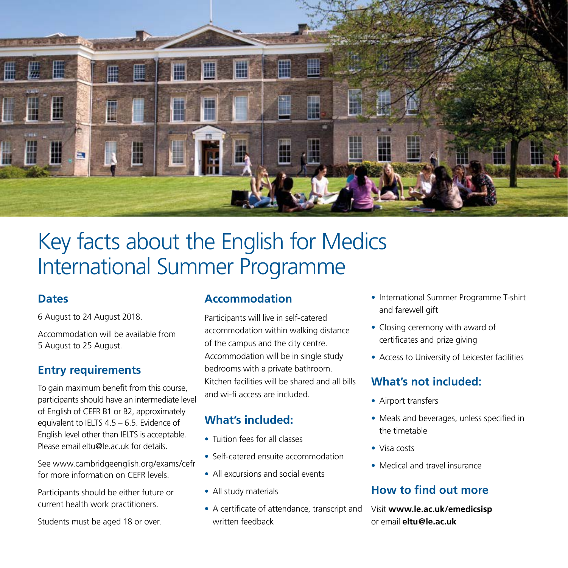

## Key facts about the English for Medics International Summer Programme

#### **Dates**

6 August to 24 August 2018.

Accommodation will be available from 5 August to 25 August.

### **Entry requirements**

To gain maximum benefit from this course, participants should have an intermediate level of English of CEFR B1 or B2, approximately equivalent to IELTS 4.5 – 6.5. Evidence of English level other than IELTS is acceptable. Please email eltu@le.ac.uk for details.

See www.cambridgeenglish.org/exams/cefr for more information on CEFR levels.

Participants should be either future or current health work practitioners.

Students must be aged 18 or over.

### **Accommodation**

Participants will live in self-catered accommodation within walking distance of the campus and the city centre. Accommodation will be in single study bedrooms with a private bathroom. Kitchen facilities will be shared and all bills and wi-fi access are included.

## **What's included:**

- Tuition fees for all classes
- Self-catered ensuite accommodation
- All excursions and social events
- All study materials
- A certificate of attendance, transcript and written feedback
- International Summer Programme T-shirt and farewell gift
- Closing ceremony with award of certificates and prize giving
- Access to University of Leicester facilities

## **What's not included:**

- Airport transfers
- Meals and beverages, unless specified in the timetable
- Visa costs
- Medical and travel insurance

## **How to find out more**

Visit **www.le.ac.uk/emedicsisp**  or email **eltu@le.ac.uk**